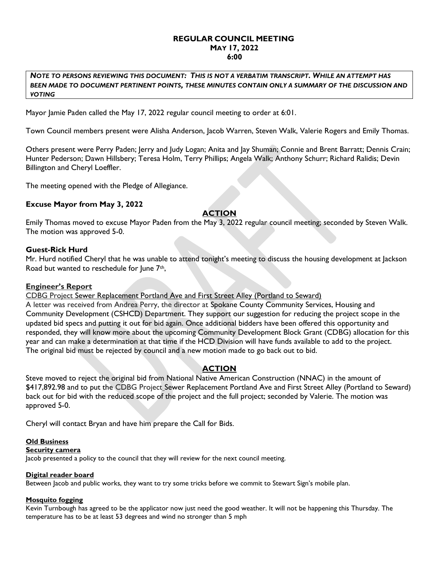## REGULAR COUNCIL MEETING MAY 17, 2022 6:00

NOTE TO PERSONS REVIEWING THIS DOCUMENT: THIS IS NOT A VERBATIM TRANSCRIPT. WHILE AN ATTEMPT HAS BEEN MADE TO DOCUMENT PERTINENT POINTS, THESE MINUTES CONTAIN ONLY A SUMMARY OF THE DISCUSSION AND VOTING

Mayor Jamie Paden called the May 17, 2022 regular council meeting to order at 6:01.

Town Council members present were Alisha Anderson, Jacob Warren, Steven Walk, Valerie Rogers and Emily Thomas.

Others present were Perry Paden; Jerry and Judy Logan; Anita and Jay Shuman; Connie and Brent Barratt; Dennis Crain; Hunter Pederson; Dawn Hillsbery; Teresa Holm, Terry Phillips; Angela Walk; Anthony Schurr; Richard Ralidis; Devin Billington and Cheryl Loeffler.

The meeting opened with the Pledge of Allegiance.

# Excuse Mayor from May 3, 2022

# ACTION

Emily Thomas moved to excuse Mayor Paden from the May 3, 2022 regular council meeting; seconded by Steven Walk. The motion was approved 5-0.

# Guest-Rick Hurd

Mr. Hurd notified Cheryl that he was unable to attend tonight's meeting to discuss the housing development at Jackson Road but wanted to reschedule for June 7<sup>th</sup>,

## Engineer's Report

CDBG Project Sewer Replacement Portland Ave and First Street Alley (Portland to Seward)

A letter was received from Andrea Perry, the director at Spokane County Community Services, Housing and Community Development (CSHCD) Department. They support our suggestion for reducing the project scope in the updated bid specs and putting it out for bid again. Once additional bidders have been offered this opportunity and responded, they will know more about the upcoming Community Development Block Grant (CDBG) allocation for this year and can make a determination at that time if the HCD Division will have funds available to add to the project. The original bid must be rejected by council and a new motion made to go back out to bid.

# **ACTION**

Steve moved to reject the original bid from National Native American Construction (NNAC) in the amount of \$417,892.98 and to put the CDBG Project Sewer Replacement Portland Ave and First Street Alley (Portland to Seward) back out for bid with the reduced scope of the project and the full project; seconded by Valerie. The motion was approved 5-0.

Cheryl will contact Bryan and have him prepare the Call for Bids.

## Old Business

## Security camera

Jacob presented a policy to the council that they will review for the next council meeting.

## Digital reader board

Between Jacob and public works, they want to try some tricks before we commit to Stewart Sign's mobile plan.

## Mosquito fogging

Kevin Turnbough has agreed to be the applicator now just need the good weather. It will not be happening this Thursday. The temperature has to be at least 53 degrees and wind no stronger than 5 mph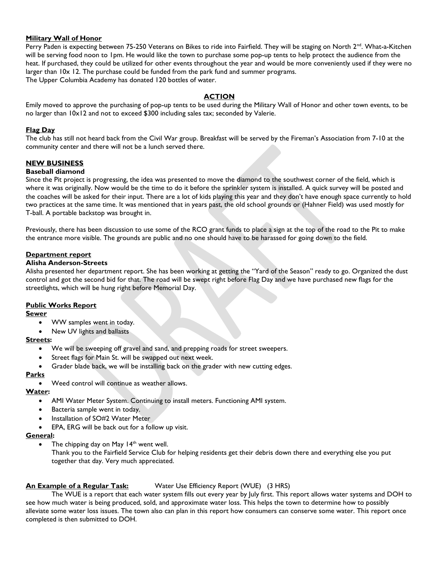## Military Wall of Honor

Perry Paden is expecting between 75-250 Veterans on Bikes to ride into Fairfield. They will be staging on North 2<sup>nd</sup>. What-a-Kitchen will be serving food noon to 1pm. He would like the town to purchase some pop-up tents to help protect the audience from the heat. If purchased, they could be utilized for other events throughout the year and would be more conveniently used if they were no larger than 10x 12. The purchase could be funded from the park fund and summer programs. The Upper Columbia Academy has donated 120 bottles of water.

# ACTION

Emily moved to approve the purchasing of pop-up tents to be used during the Military Wall of Honor and other town events, to be no larger than 10x12 and not to exceed \$300 including sales tax; seconded by Valerie.

## Flag Day

The club has still not heard back from the Civil War group. Breakfast will be served by the Fireman's Association from 7-10 at the community center and there will not be a lunch served there.

# NEW BUSINESS

## Baseball diamond

Since the Pit project is progressing, the idea was presented to move the diamond to the southwest corner of the field, which is where it was originally. Now would be the time to do it before the sprinkler system is installed. A quick survey will be posted and the coaches will be asked for their input. There are a lot of kids playing this year and they don't have enough space currently to hold two practices at the same time. It was mentioned that in years past, the old school grounds or (Hahner Field) was used mostly for T-ball. A portable backstop was brought in.

Previously, there has been discussion to use some of the RCO grant funds to place a sign at the top of the road to the Pit to make the entrance more visible. The grounds are public and no one should have to be harassed for going down to the field.

## Department report

### Alisha Anderson-Streets

Alisha presented her department report. She has been working at getting the "Yard of the Season" ready to go. Organized the dust control and got the second bid for that. The road will be swept right before Flag Day and we have purchased new flags for the streetlights, which will be hung right before Memorial Day.

## Public Works Report

### **Sewer**

- WW samples went in today.
- New UV lights and ballasts

### Streets:

- We will be sweeping off gravel and sand, and prepping roads for street sweepers.
- Street flags for Main St. will be swapped out next week.
- Grader blade back, we will be installing back on the grader with new cutting edges.

### **Parks**

Weed control will continue as weather allows.

### Water:

- AMI Water Meter System. Continuing to install meters. Functioning AMI system.
- Bacteria sample went in today.
- Installation of SO#2 Water Meter
- EPA, ERG will be back out for a follow up visit.

### General:

- The chipping day on May  $14<sup>th</sup>$  went well.
	- Thank you to the Fairfield Service Club for helping residents get their debris down there and everything else you put together that day. Very much appreciated.

## An Example of a Regular Task: Water Use Efficiency Report (WUE) (3 HRS)

 The WUE is a report that each water system fills out every year by July first. This report allows water systems and DOH to see how much water is being produced, sold, and approximate water loss. This helps the town to determine how to possibly alleviate some water loss issues. The town also can plan in this report how consumers can conserve some water. This report once completed is then submitted to DOH.